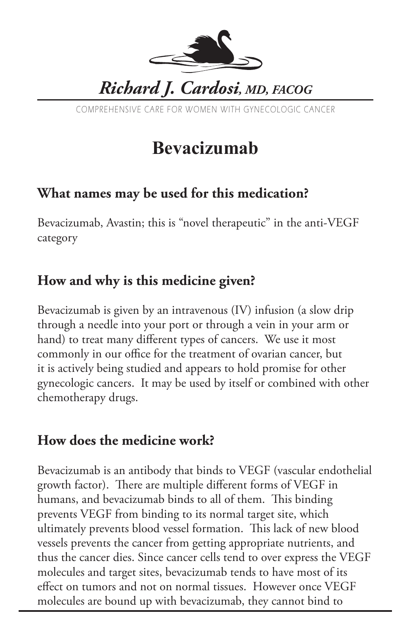

COMPREHENSIVE CARE FOR WOMEN WITH GYNECOLOGIC CANCER

# **Bevacizumab**

## **What names may be used for this medication?**

Bevacizumab, Avastin; this is "novel therapeutic" in the anti-VEGF category

## **How and why is this medicine given?**

Bevacizumab is given by an intravenous (IV) infusion (a slow drip through a needle into your port or through a vein in your arm or hand) to treat many different types of cancers. We use it most commonly in our office for the treatment of ovarian cancer, but it is actively being studied and appears to hold promise for other gynecologic cancers. It may be used by itself or combined with other chemotherapy drugs.

#### **How does the medicine work?**

Bevacizumab is an antibody that binds to VEGF (vascular endothelial growth factor). There are multiple different forms of VEGF in humans, and bevacizumab binds to all of them. This binding prevents VEGF from binding to its normal target site, which ultimately prevents blood vessel formation. This lack of new blood vessels prevents the cancer from getting appropriate nutrients, and thus the cancer dies. Since cancer cells tend to over express the VEGF molecules and target sites, bevacizumab tends to have most of its effect on tumors and not on normal tissues. However once VEGF molecules are bound up with bevacizumab, they cannot bind to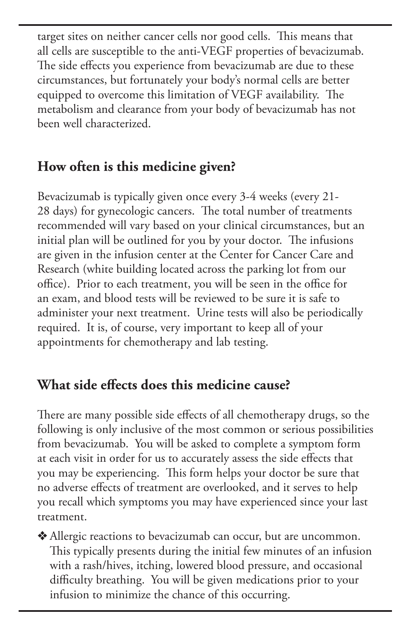target sites on neither cancer cells nor good cells. This means that all cells are susceptible to the anti-VEGF properties of bevacizumab. The side effects you experience from bevacizumab are due to these circumstances, but fortunately your body's normal cells are better equipped to overcome this limitation of VEGF availability. The metabolism and clearance from your body of bevacizumab has not been well characterized.

### **How often is this medicine given?**

Bevacizumab is typically given once every 3-4 weeks (every 21- 28 days) for gynecologic cancers. The total number of treatments recommended will vary based on your clinical circumstances, but an initial plan will be outlined for you by your doctor. The infusions are given in the infusion center at the Center for Cancer Care and Research (white building located across the parking lot from our office). Prior to each treatment, you will be seen in the office for an exam, and blood tests will be reviewed to be sure it is safe to administer your next treatment. Urine tests will also be periodically required. It is, of course, very important to keep all of your appointments for chemotherapy and lab testing.

## **What side effects does this medicine cause?**

There are many possible side effects of all chemotherapy drugs, so the following is only inclusive of the most common or serious possibilities from bevacizumab. You will be asked to complete a symptom form at each visit in order for us to accurately assess the side effects that you may be experiencing. This form helps your doctor be sure that no adverse effects of treatment are overlooked, and it serves to help you recall which symptoms you may have experienced since your last treatment.

v Allergic reactions to bevacizumab can occur, but are uncommon. This typically presents during the initial few minutes of an infusion with a rash/hives, itching, lowered blood pressure, and occasional difficulty breathing. You will be given medications prior to your infusion to minimize the chance of this occurring.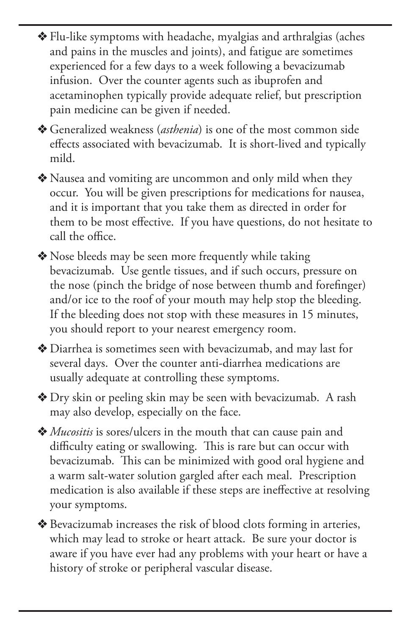v Flu-like symptoms with headache, myalgias and arthralgias (aches and pains in the muscles and joints), and fatigue are sometimes experienced for a few days to a week following a bevacizumab infusion. Over the counter agents such as ibuprofen and acetaminophen typically provide adequate relief, but prescription pain medicine can be given if needed.

v Generalized weakness (*asthenia*) is one of the most common side effects associated with bevacizumab. It is short-lived and typically mild.

v Nausea and vomiting are uncommon and only mild when they occur. You will be given prescriptions for medications for nausea, and it is important that you take them as directed in order for them to be most effective. If you have questions, do not hesitate to call the office.

• Nose bleeds may be seen more frequently while taking bevacizumab. Use gentle tissues, and if such occurs, pressure on the nose (pinch the bridge of nose between thumb and forefinger) and/or ice to the roof of your mouth may help stop the bleeding. If the bleeding does not stop with these measures in 15 minutes, you should report to your nearest emergency room.

v Diarrhea is sometimes seen with bevacizumab, and may last for several days. Over the counter anti-diarrhea medications are usually adequate at controlling these symptoms.

◆ Dry skin or peeling skin may be seen with bevacizumab. A rash may also develop, especially on the face.

v *Mucositis* is sores/ulcers in the mouth that can cause pain and difficulty eating or swallowing. This is rare but can occur with bevacizumab. This can be minimized with good oral hygiene and a warm salt-water solution gargled after each meal. Prescription medication is also available if these steps are ineffective at resolving your symptoms.

v Bevacizumab increases the risk of blood clots forming in arteries, which may lead to stroke or heart attack. Be sure your doctor is aware if you have ever had any problems with your heart or have a history of stroke or peripheral vascular disease.